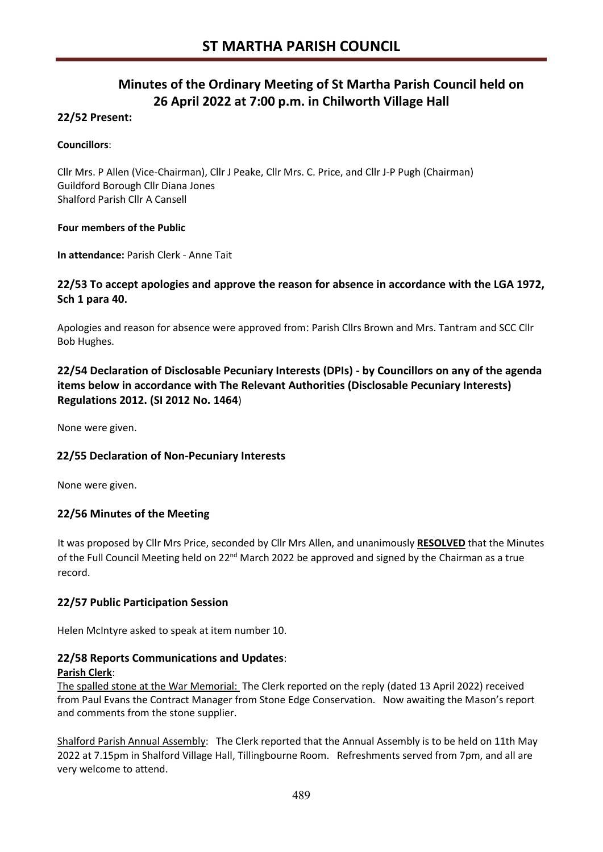# **Minutes of the Ordinary Meeting of St Martha Parish Council held on 26 April 2022 at 7:00 p.m. in Chilworth Village Hall**

# **22/52 Present:**

#### **Councillors**:

Cllr Mrs. P Allen (Vice-Chairman), Cllr J Peake, Cllr Mrs. C. Price, and Cllr J-P Pugh (Chairman) Guildford Borough Cllr Diana Jones Shalford Parish Cllr A Cansell

#### **Four members of the Public**

**In attendance:** Parish Clerk - Anne Tait

# **22/53 To accept apologies and approve the reason for absence in accordance with the LGA 1972, Sch 1 para 40.**

Apologies and reason for absence were approved from: Parish Cllrs Brown and Mrs. Tantram and SCC Cllr Bob Hughes.

# **22/54 Declaration of Disclosable Pecuniary Interests (DPIs) - by Councillors on any of the agenda items below in accordance with The Relevant Authorities (Disclosable Pecuniary Interests) Regulations 2012. (SI 2012 No. 1464**)

None were given.

# **22/55 Declaration of Non-Pecuniary Interests**

None were given.

# **22/56 Minutes of the Meeting**

It was proposed by Cllr Mrs Price, seconded by Cllr Mrs Allen, and unanimously **RESOLVED** that the Minutes of the Full Council Meeting held on 22<sup>nd</sup> March 2022 be approved and signed by the Chairman as a true record.

# **22/57 Public Participation Session**

Helen McIntyre asked to speak at item number 10.

#### **22/58 Reports Communications and Updates**:

#### **Parish Clerk**:

The spalled stone at the War Memorial: The Clerk reported on the reply (dated 13 April 2022) received from Paul Evans the Contract Manager from Stone Edge Conservation. Now awaiting the Mason's report and comments from the stone supplier.

Shalford Parish Annual Assembly: The Clerk reported that the Annual Assembly is to be held on 11th May 2022 at 7.15pm in Shalford Village Hall, Tillingbourne Room. Refreshments served from 7pm, and all are very welcome to attend.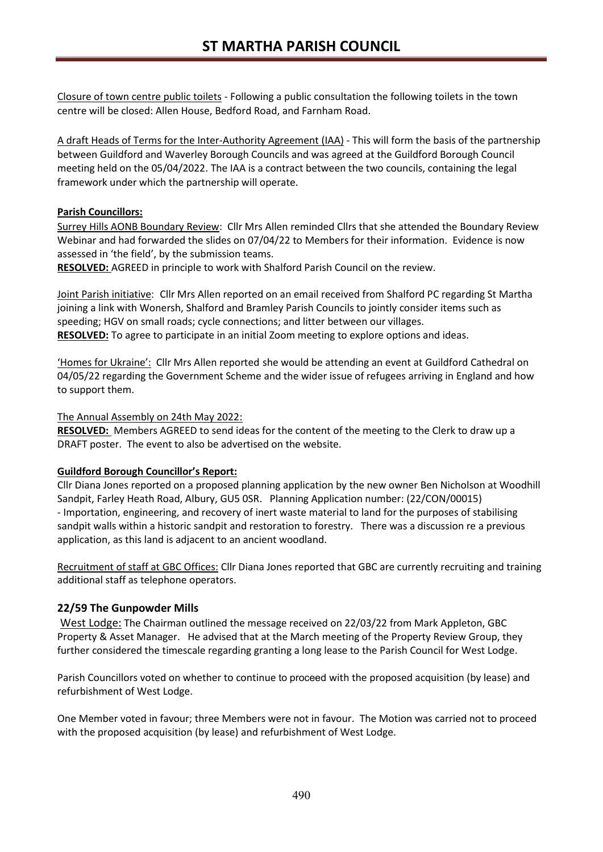Closure of town centre public toilets - Following a public consultation the following toilets in the town centre will be closed: Allen House, Bedford Road, and Farnham Road.

A draft Heads of Terms for the Inter-Authority Agreement (IAA) - This will form the basis of the partnership between Guildford and Waverley Borough Councils and was agreed at the Guildford Borough Council meeting held on the 05/04/2022. The IAA is a contract between the two councils, containing the legal framework under which the partnership will operate.

#### **Parish Councillors:**

Surrey Hills AONB Boundary Review: Cllr Mrs Allen reminded Cllrs that she attended the Boundary Review Webinar and had forwarded the slides on 07/04/22 to Members for their information. Evidence is now assessed in 'the field', by the submission teams.

**RESOLVED:** AGREED in principle to work with Shalford Parish Council on the review.

Joint Parish initiative: Cllr Mrs Allen reported on an email received from Shalford PC regarding St Martha joining a link with Wonersh, Shalford and Bramley Parish Councils to jointly consider items such as speeding; HGV on small roads; cycle connections; and litter between our villages. **RESOLVED:** To agree to participate in an initial Zoom meeting to explore options and ideas.

'Homes for Ukraine': Cllr Mrs Allen reported she would be attending an event at Guildford Cathedral on 04/05/22 regarding the Government Scheme and the wider issue of refugees arriving in England and how to support them.

#### The Annual Assembly on 24th May 2022:

**RESOLVED:** Members AGREED to send ideas for the content of the meeting to the Clerk to draw up a DRAFT poster. The event to also be advertised on the website.

#### **Guildford Borough Councillor's Report:**

Cllr Diana Jones reported on a proposed planning application by the new owner Ben Nicholson at Woodhill Sandpit, Farley Heath Road, Albury, GU5 0SR. Planning Application number: (22/CON/00015) - Importation, engineering, and recovery of inert waste material to land for the purposes of stabilising sandpit walls within a historic sandpit and restoration to forestry. There was a discussion re a previous application, as this land is adjacent to an ancient woodland.

Recruitment of staff at GBC Offices: Cllr Diana Jones reported that GBC are currently recruiting and training additional staff as telephone operators.

# **22/59 The Gunpowder Mills**

West Lodge: The Chairman outlined the message received on 22/03/22 from Mark Appleton, GBC Property & Asset Manager. He advised that at the March meeting of the Property Review Group, they further considered the timescale regarding granting a long lease to the Parish Council for West Lodge.

Parish Councillors voted on whether to continue to proceed with the proposed acquisition (by lease) and refurbishment of West Lodge.

One Member voted in favour; three Members were not in favour. The Motion was carried not to proceed with the proposed acquisition (by lease) and refurbishment of West Lodge.